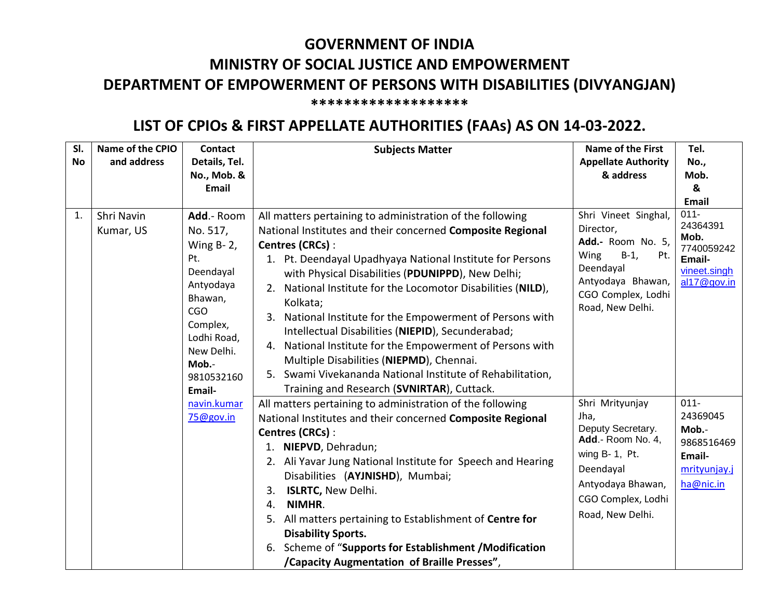## **GOVERNMENT OF INDIA MINISTRY OF SOCIAL JUSTICE AND EMPOWERMENT DEPARTMENT OF EMPOWERMENT OF PERSONS WITH DISABILITIES (DIVYANGJAN) \*\*\*\*\*\*\*\*\*\*\*\*\*\*\*\*\*\*\***

## **LIST OF CPIOs & FIRST APPELLATE AUTHORITIES (FAAs) AS ON 14-03-2022.**

| SI.<br><b>No</b> | Name of the CPIO<br>and address                                                                                                                                                                                                     | <b>Contact</b><br>Details, Tel.<br>No., Mob. &<br>Email                                                                                                                                                                                                                                                                                                                                                                                                                                                                                                                                                                                                                         | <b>Subjects Matter</b>                                                                                                                                          | Name of the First<br><b>Appellate Authority</b><br>& address                       | Tel.<br>No.,<br>Mob.<br>&<br>Email |
|------------------|-------------------------------------------------------------------------------------------------------------------------------------------------------------------------------------------------------------------------------------|---------------------------------------------------------------------------------------------------------------------------------------------------------------------------------------------------------------------------------------------------------------------------------------------------------------------------------------------------------------------------------------------------------------------------------------------------------------------------------------------------------------------------------------------------------------------------------------------------------------------------------------------------------------------------------|-----------------------------------------------------------------------------------------------------------------------------------------------------------------|------------------------------------------------------------------------------------|------------------------------------|
| 1.               | Shri Navin<br>Add.- Room<br>No. 517,<br>Kumar, US<br>Wing $B - 2$ ,<br>Pt.<br>Deendayal<br>Antyodaya<br>Bhawan,<br><b>CGO</b><br>Complex,<br>Lodhi Road,<br>New Delhi.<br>Mob.-<br>9810532160<br>Email-<br>navin.kumar<br>75@gov.in | All matters pertaining to administration of the following<br>National Institutes and their concerned Composite Regional<br>Centres (CRCs):<br>1. Pt. Deendayal Upadhyaya National Institute for Persons<br>with Physical Disabilities (PDUNIPPD), New Delhi;<br>2. National Institute for the Locomotor Disabilities (NILD),<br>Kolkata;<br>3. National Institute for the Empowerment of Persons with<br>Intellectual Disabilities (NIEPID), Secunderabad;<br>4. National Institute for the Empowerment of Persons with<br>Multiple Disabilities (NIEPMD), Chennai.<br>5. Swami Vivekananda National Institute of Rehabilitation,<br>Training and Research (SVNIRTAR), Cuttack. | Shri Vineet Singhal,<br>Director,<br>Add.- Room No. 5,<br>Wing<br>$B-1$ ,<br>Pt.<br>Deendayal<br>Antyodaya Bhawan,<br>CGO Complex, Lodhi<br>Road, New Delhi.    | $011 -$<br>24364391<br>Mob.<br>7740059242<br>Email-<br>vineet.singh<br>al17@gov.in |                                    |
|                  |                                                                                                                                                                                                                                     | All matters pertaining to administration of the following<br>National Institutes and their concerned Composite Regional<br>Centres (CRCs):<br>1. NIEPVD, Dehradun;<br>2. Ali Yavar Jung National Institute for Speech and Hearing<br>Disabilities (AYJNISHD), Mumbai;<br><b>ISLRTC, New Delhi.</b><br>3.<br>NIMHR.<br>4.<br>5. All matters pertaining to Establishment of Centre for<br><b>Disability Sports.</b><br>6. Scheme of "Supports for Establishment / Modification<br>/Capacity Augmentation of Braille Presses",                                                                                                                                                     | Shri Mrityunjay<br>Jha,<br>Deputy Secretary.<br>Add.- Room No. 4,<br>wing B- 1, Pt.<br>Deendayal<br>Antyodaya Bhawan,<br>CGO Complex, Lodhi<br>Road, New Delhi. | $011 -$<br>24369045<br>Mob.-<br>9868516469<br>Email-<br>mrityunjay.j<br>ha@nic.in  |                                    |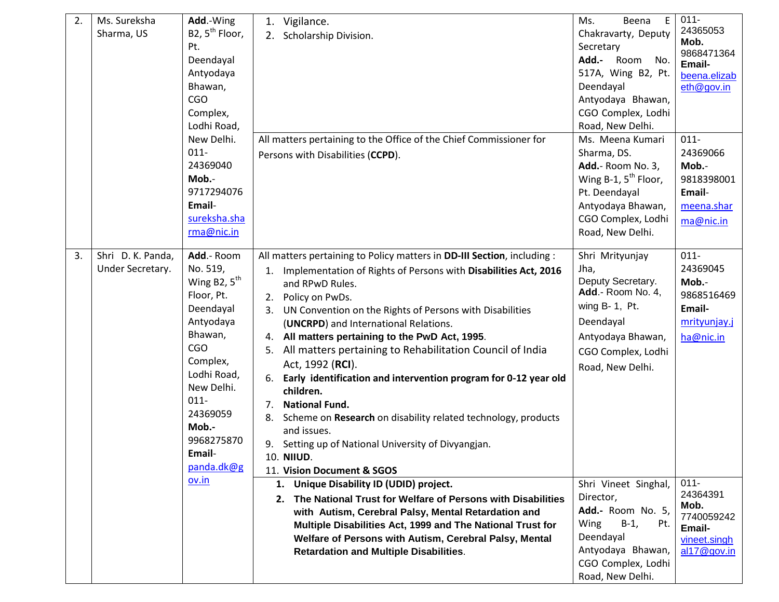| 2. | Ms. Sureksha      | Add.-Wing                | 1. Vigilance.                                                           | E<br>Beena<br>Ms.                      | $011 -$              |
|----|-------------------|--------------------------|-------------------------------------------------------------------------|----------------------------------------|----------------------|
|    | Sharma, US        | B2, $5^{th}$ Floor,      | 2. Scholarship Division.                                                | Chakravarty, Deputy                    | 24365053             |
|    |                   | Pt.                      |                                                                         | Secretary                              | Mob.                 |
|    |                   | Deendayal                |                                                                         | Add.-<br>Room<br>No.                   | 9868471364<br>Email- |
|    |                   | Antyodaya                |                                                                         | 517A, Wing B2, Pt.                     | beena.elizab         |
|    |                   | Bhawan,                  |                                                                         | Deendayal                              | eth@gov.in           |
|    |                   | <b>CGO</b>               |                                                                         | Antyodaya Bhawan,                      |                      |
|    |                   | Complex,                 |                                                                         | CGO Complex, Lodhi                     |                      |
|    |                   | Lodhi Road,              |                                                                         | Road, New Delhi.                       |                      |
|    |                   | New Delhi.               | All matters pertaining to the Office of the Chief Commissioner for      | Ms. Meena Kumari                       | $011 -$              |
|    |                   | $011 -$                  | Persons with Disabilities (CCPD).                                       | Sharma, DS.                            | 24369066             |
|    |                   | 24369040                 |                                                                         | Add.- Room No. 3,                      | Mob.-                |
|    |                   | Mob.-                    |                                                                         | Wing B-1, $5^{th}$ Floor,              | 9818398001           |
|    |                   | 9717294076               |                                                                         | Pt. Deendayal                          | Email-               |
|    |                   | Email-                   |                                                                         | Antyodaya Bhawan,                      | meena.shar           |
|    |                   | sureksha.sha             |                                                                         | CGO Complex, Lodhi                     | ma@nic.in            |
|    |                   | rma@nic.in               |                                                                         | Road, New Delhi.                       |                      |
|    |                   |                          |                                                                         |                                        |                      |
| 3. | Shri D. K. Panda, | Add.- Room               | All matters pertaining to Policy matters in DD-III Section, including : | Shri Mrityunjay                        | $011 -$              |
|    | Under Secretary.  | No. 519,                 | 1. Implementation of Rights of Persons with Disabilities Act, 2016      | Jha,                                   | 24369045             |
|    |                   | Wing B2, $5^{\text{th}}$ | and RPwD Rules.                                                         | Deputy Secretary.<br>Add.- Room No. 4, | Mob.-                |
|    |                   | Floor, Pt.               | Policy on PwDs.<br>2.                                                   |                                        | 9868516469           |
|    |                   | Deendayal                | UN Convention on the Rights of Persons with Disabilities<br>3.          | wing B- 1, Pt.                         | Email-               |
|    |                   | Antyodaya                | (UNCRPD) and International Relations.                                   | Deendayal                              | mrityunjay.j         |
|    |                   | Bhawan,                  | 4. All matters pertaining to the PwD Act, 1995.                         | Antyodaya Bhawan,                      | ha@nic.in            |
|    |                   | <b>CGO</b>               | All matters pertaining to Rehabilitation Council of India<br>5.         | CGO Complex, Lodhi                     |                      |
|    |                   | Complex,                 | Act, 1992 (RCI).                                                        | Road, New Delhi.                       |                      |
|    |                   | Lodhi Road,              | Early identification and intervention program for 0-12 year old<br>6.   |                                        |                      |
|    |                   | New Delhi.               | children.                                                               |                                        |                      |
|    |                   | $011 -$                  | <b>National Fund.</b><br>7.                                             |                                        |                      |
|    |                   | 24369059                 | Scheme on Research on disability related technology, products<br>8.     |                                        |                      |
|    |                   | Mob.-                    | and issues.                                                             |                                        |                      |
|    |                   | 9968275870               | 9. Setting up of National University of Divyangjan.                     |                                        |                      |
|    |                   | Email-                   | 10. NIIUD.                                                              |                                        |                      |
|    |                   | panda.dk@g               | 11. Vision Document & SGOS                                              |                                        |                      |
|    |                   | ov.in                    | 1. Unique Disability ID (UDID) project.                                 | Shri Vineet Singhal,                   | $011 -$              |
|    |                   |                          | 2. The National Trust for Welfare of Persons with Disabilities          | Director,                              | 24364391<br>Mob.     |
|    |                   |                          | with Autism, Cerebral Palsy, Mental Retardation and                     | Add.- Room No. 5,                      | 7740059242           |
|    |                   |                          | Multiple Disabilities Act, 1999 and The National Trust for              | $B-1$ ,<br>Wing<br>Pt.                 | Email-               |
|    |                   |                          | Welfare of Persons with Autism, Cerebral Palsy, Mental                  | Deendayal                              | vineet.singh         |
|    |                   |                          | <b>Retardation and Multiple Disabilities.</b>                           | Antyodaya Bhawan,                      | al17@gov.in          |
|    |                   |                          |                                                                         | CGO Complex, Lodhi                     |                      |
|    |                   |                          |                                                                         | Road, New Delhi.                       |                      |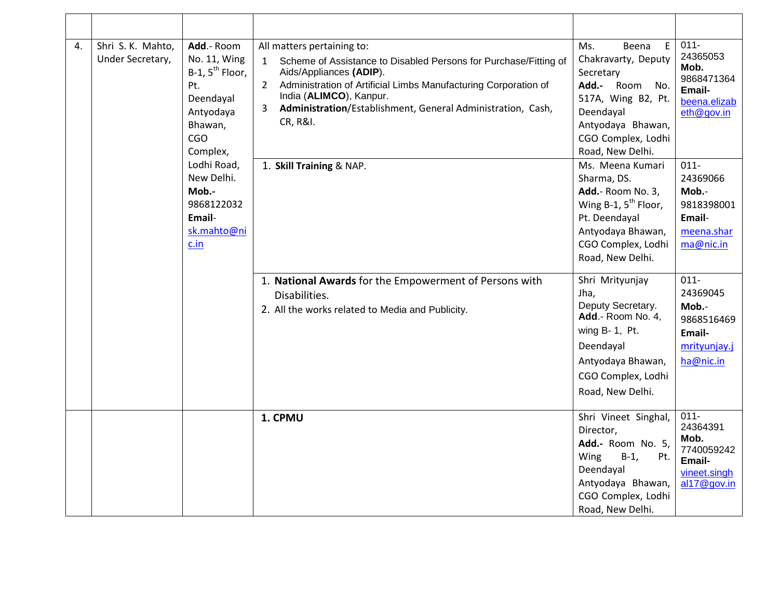| 4. | Shri S. K. Mahto,<br>Add.- Room<br>Under Secretary,<br>No. 11, Wing<br>$B-1$ , $5^{th}$ Floor,<br>Pt.<br>Deendayal<br>Antyodaya<br>Bhawan,<br>CGO<br>Complex,<br>Lodhi Road,<br>New Delhi.<br>Mob.-<br>9868122032<br>Email-<br>sk.mahto@ni<br>c.in | All matters pertaining to:<br>Scheme of Assistance to Disabled Persons for Purchase/Fitting of<br>$\mathbf{1}$<br>Aids/Appliances (ADIP).<br>$2^{\circ}$<br>Administration of Artificial Limbs Manufacturing Corporation of<br>India (ALIMCO), Kanpur.<br>Administration/Establishment, General Administration, Cash,<br>3<br>CR, R&I. | Ms.<br>E<br>Beena<br>Chakravarty, Deputy<br>Secretary<br>Add.- Room No.<br>517A, Wing B2, Pt.<br>Deendayal<br>Antyodaya Bhawan,<br>CGO Complex, Lodhi<br>Road, New Delhi. | $011 -$<br>24365053<br>Mob.<br>9868471364<br>Email-<br>beena.elizab<br>eth@gov.in                                                                              |                                                                                    |
|----|----------------------------------------------------------------------------------------------------------------------------------------------------------------------------------------------------------------------------------------------------|----------------------------------------------------------------------------------------------------------------------------------------------------------------------------------------------------------------------------------------------------------------------------------------------------------------------------------------|---------------------------------------------------------------------------------------------------------------------------------------------------------------------------|----------------------------------------------------------------------------------------------------------------------------------------------------------------|------------------------------------------------------------------------------------|
|    |                                                                                                                                                                                                                                                    | 1. Skill Training & NAP.                                                                                                                                                                                                                                                                                                               | Ms. Meena Kumari<br>Sharma, DS.<br>Add.- Room No. 3,<br>Wing B-1, 5 <sup>th</sup> Floor,<br>Pt. Deendayal<br>Antyodaya Bhawan,<br>CGO Complex, Lodhi<br>Road, New Delhi.  | $011 -$<br>24369066<br>Mob.-<br>9818398001<br>Email-<br>meena.shar<br>ma@nic.in                                                                                |                                                                                    |
|    |                                                                                                                                                                                                                                                    |                                                                                                                                                                                                                                                                                                                                        | 1. National Awards for the Empowerment of Persons with<br>Disabilities.<br>2. All the works related to Media and Publicity.                                               | Shri Mrityunjay<br>Jha,<br>Deputy Secretary.<br>Add.- Room No. 4,<br>wing B-1, Pt.<br>Deendayal<br>Antyodaya Bhawan,<br>CGO Complex, Lodhi<br>Road, New Delhi. | $011 -$<br>24369045<br>Mob.-<br>9868516469<br>Email-<br>mrityunjay.j<br>ha@nic.in  |
|    |                                                                                                                                                                                                                                                    |                                                                                                                                                                                                                                                                                                                                        | 1. CPMU                                                                                                                                                                   | Shri Vineet Singhal,<br>Director,<br>Add.- Room No. 5,<br>Wing<br>$B-1,$<br>Pt.<br>Deendayal<br>Antyodaya Bhawan,<br>CGO Complex, Lodhi<br>Road, New Delhi.    | $011 -$<br>24364391<br>Mob.<br>7740059242<br>Email-<br>vineet.singh<br>al17@gov.in |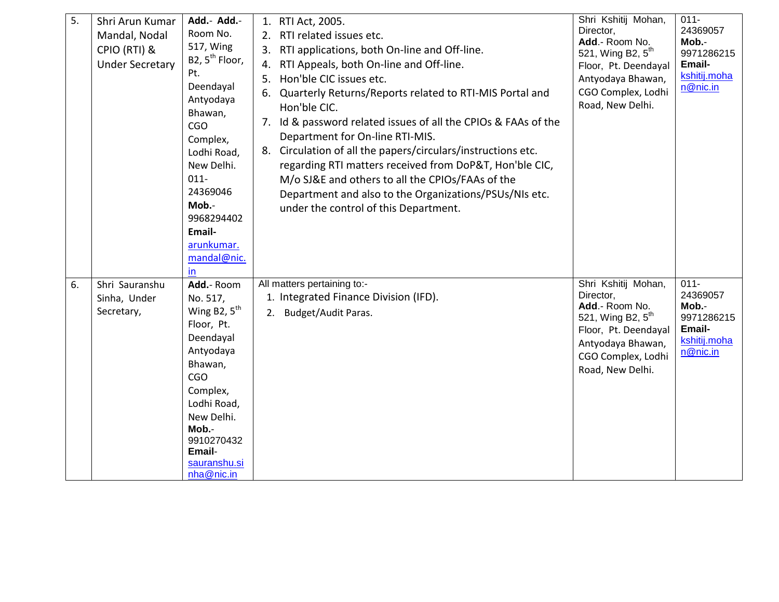| 5. | Shri Arun Kumar<br>Mandal, Nodal<br>CPIO (RTI) &<br><b>Under Secretary</b> | Add.- Add.-<br>Room No.<br>517, Wing<br>B2, 5 <sup>th</sup> Floor,<br>Pt.<br>Deendayal<br>Antyodaya<br>Bhawan,<br><b>CGO</b><br>Complex,<br>Lodhi Road,<br>New Delhi.<br>$011 -$<br>24369046<br>Mob.-<br>9968294402<br>Email-<br>arunkumar.<br>mandal@nic.<br>in | 1. RTI Act, 2005.<br>RTI related issues etc.<br>2.<br>RTI applications, both On-line and Off-line.<br>3.<br>RTI Appeals, both On-line and Off-line.<br>4.<br>Hon'ble CIC issues etc.<br>5.<br>Quarterly Returns/Reports related to RTI-MIS Portal and<br>6.<br>Hon'ble CIC.<br>Id & password related issues of all the CPIOs & FAAs of the<br>7.<br>Department for On-line RTI-MIS.<br>Circulation of all the papers/circulars/instructions etc.<br>8.<br>regarding RTI matters received from DoP&T, Hon'ble CIC,<br>M/o SJ&E and others to all the CPIOs/FAAs of the<br>Department and also to the Organizations/PSUs/NIs etc.<br>under the control of this Department. | Shri Kshitij Mohan,<br>Director,<br>Add.- Room No.<br>521, Wing B2, 5 <sup>th</sup><br>Floor, Pt. Deendayal<br>Antyodaya Bhawan,<br>CGO Complex, Lodhi<br>Road, New Delhi. | $011 -$<br>24369057<br>Mob.-<br>9971286215<br>Email-<br>kshitij.moha<br>n@nic.in |
|----|----------------------------------------------------------------------------|------------------------------------------------------------------------------------------------------------------------------------------------------------------------------------------------------------------------------------------------------------------|--------------------------------------------------------------------------------------------------------------------------------------------------------------------------------------------------------------------------------------------------------------------------------------------------------------------------------------------------------------------------------------------------------------------------------------------------------------------------------------------------------------------------------------------------------------------------------------------------------------------------------------------------------------------------|----------------------------------------------------------------------------------------------------------------------------------------------------------------------------|----------------------------------------------------------------------------------|
| 6. | Shri Sauranshu<br>Sinha, Under<br>Secretary,                               | Add.- Room<br>No. 517,<br>Wing B2, $5th$<br>Floor, Pt.<br>Deendayal<br>Antyodaya<br>Bhawan,<br><b>CGO</b><br>Complex,<br>Lodhi Road,<br>New Delhi.<br>Mob.-<br>9910270432<br>Email-<br>sauranshu.si<br>nha@nic.in                                                | All matters pertaining to:-<br>1. Integrated Finance Division (IFD).<br>Budget/Audit Paras.<br>2.                                                                                                                                                                                                                                                                                                                                                                                                                                                                                                                                                                        | Shri Kshitij Mohan,<br>Director,<br>Add.- Room No.<br>521, Wing B2, $5^{th}$<br>Floor, Pt. Deendayal<br>Antyodaya Bhawan,<br>CGO Complex, Lodhi<br>Road, New Delhi.        | $011 -$<br>24369057<br>Mob.-<br>9971286215<br>Email-<br>kshitij.moha<br>n@nic.in |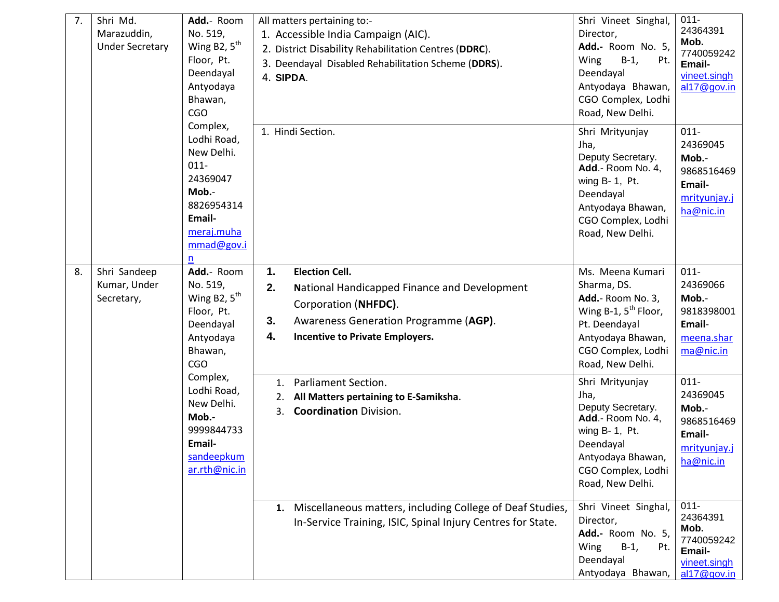| 7. | Shri Md.<br>Add.- Room<br>No. 519,<br>Marazuddin,<br>Wing B2, $5^{\text{th}}$<br><b>Under Secretary</b><br>Floor, Pt.<br>Deendayal<br>Antyodaya<br>Bhawan,<br><b>CGO</b>                                                                                                                                                                                                                                                                                                                                                   | All matters pertaining to:-<br>1. Accessible India Campaign (AIC).<br>2. District Disability Rehabilitation Centres (DDRC).<br>3. Deendayal Disabled Rehabilitation Scheme (DDRS).<br>4. SIPDA. | Shri Vineet Singhal,<br>Director,<br>Add.- Room No. 5,<br>$B-1$ ,<br>Wing<br>Pt.<br>Deendayal<br>Antyodaya Bhawan,<br>CGO Complex, Lodhi<br>Road, New Delhi.      | $011 -$<br>24364391<br>Mob.<br>7740059242<br>Email-<br>vineet.singh<br>al17@gov.in                                 |                                                                                                                                                                 |                                                                                   |
|----|----------------------------------------------------------------------------------------------------------------------------------------------------------------------------------------------------------------------------------------------------------------------------------------------------------------------------------------------------------------------------------------------------------------------------------------------------------------------------------------------------------------------------|-------------------------------------------------------------------------------------------------------------------------------------------------------------------------------------------------|-------------------------------------------------------------------------------------------------------------------------------------------------------------------|--------------------------------------------------------------------------------------------------------------------|-----------------------------------------------------------------------------------------------------------------------------------------------------------------|-----------------------------------------------------------------------------------|
|    |                                                                                                                                                                                                                                                                                                                                                                                                                                                                                                                            | Complex,<br>Lodhi Road,<br>New Delhi.<br>$011 -$<br>24369047<br>Mob.-<br>8826954314<br>Email-<br>meraj.muha<br>mmad@gov.i                                                                       | n                                                                                                                                                                 | 1. Hindi Section.                                                                                                  | Shri Mrityunjay<br>Jha,<br>Deputy Secretary.<br>Add.- Room No. 4,<br>wing B- 1, Pt.<br>Deendayal<br>Antyodaya Bhawan,<br>CGO Complex, Lodhi<br>Road, New Delhi. | $011 -$<br>24369045<br>Mob.-<br>9868516469<br>Email-<br>mrityunjay.j<br>ha@nic.in |
| 8. | 1.<br>Add.- Room<br><b>Election Cell.</b><br>Shri Sandeep<br>Kumar, Under<br>No. 519,<br>2.<br>Wing B <sub>2</sub> , $5th$<br>Secretary,<br>Corporation (NHFDC).<br>Floor, Pt.<br>3.<br>Deendayal<br>4.<br><b>Incentive to Private Employers.</b><br>Antyodaya<br>Bhawan,<br><b>CGO</b><br>Complex,<br><b>Parliament Section.</b><br>1.<br>Lodhi Road,<br>All Matters pertaining to E-Samiksha.<br>2.<br>New Delhi.<br><b>Coordination Division.</b><br>3.<br>Mob.-<br>9999844733<br>Email-<br>sandeepkum<br>ar.rth@nic.in | National Handicapped Finance and Development<br>Awareness Generation Programme (AGP).                                                                                                           | Ms. Meena Kumari<br>Sharma, DS.<br>Add.- Room No. 3,<br>Wing B-1, $5^{th}$ Floor,<br>Pt. Deendayal<br>Antyodaya Bhawan,<br>CGO Complex, Lodhi<br>Road, New Delhi. | $011 -$<br>24369066<br>Mob.-<br>9818398001<br>Email-<br>meena.shar<br>ma@nic.in                                    |                                                                                                                                                                 |                                                                                   |
|    |                                                                                                                                                                                                                                                                                                                                                                                                                                                                                                                            |                                                                                                                                                                                                 | Shri Mrityunjay<br>Jha,<br>Deputy Secretary.<br>Add.- Room No. 4,<br>wing B- 1, Pt.<br>Deendayal<br>Antyodaya Bhawan,<br>CGO Complex, Lodhi<br>Road, New Delhi.   | $011 -$<br>24369045<br>Mob.-<br>9868516469<br>Email-<br>mrityunjay.j<br>ha@nic.in                                  |                                                                                                                                                                 |                                                                                   |
|    |                                                                                                                                                                                                                                                                                                                                                                                                                                                                                                                            |                                                                                                                                                                                                 | 1. Miscellaneous matters, including College of Deaf Studies,<br>In-Service Training, ISIC, Spinal Injury Centres for State.                                       | Shri Vineet Singhal,<br>Director,<br>Add.- Room No. 5,<br>Wing<br>$B-1$ ,<br>Pt.<br>Deendayal<br>Antyodaya Bhawan, | $011 -$<br>24364391<br>Mob.<br>7740059242<br>Email-<br>vineet.singh<br>al17@gov.in                                                                              |                                                                                   |